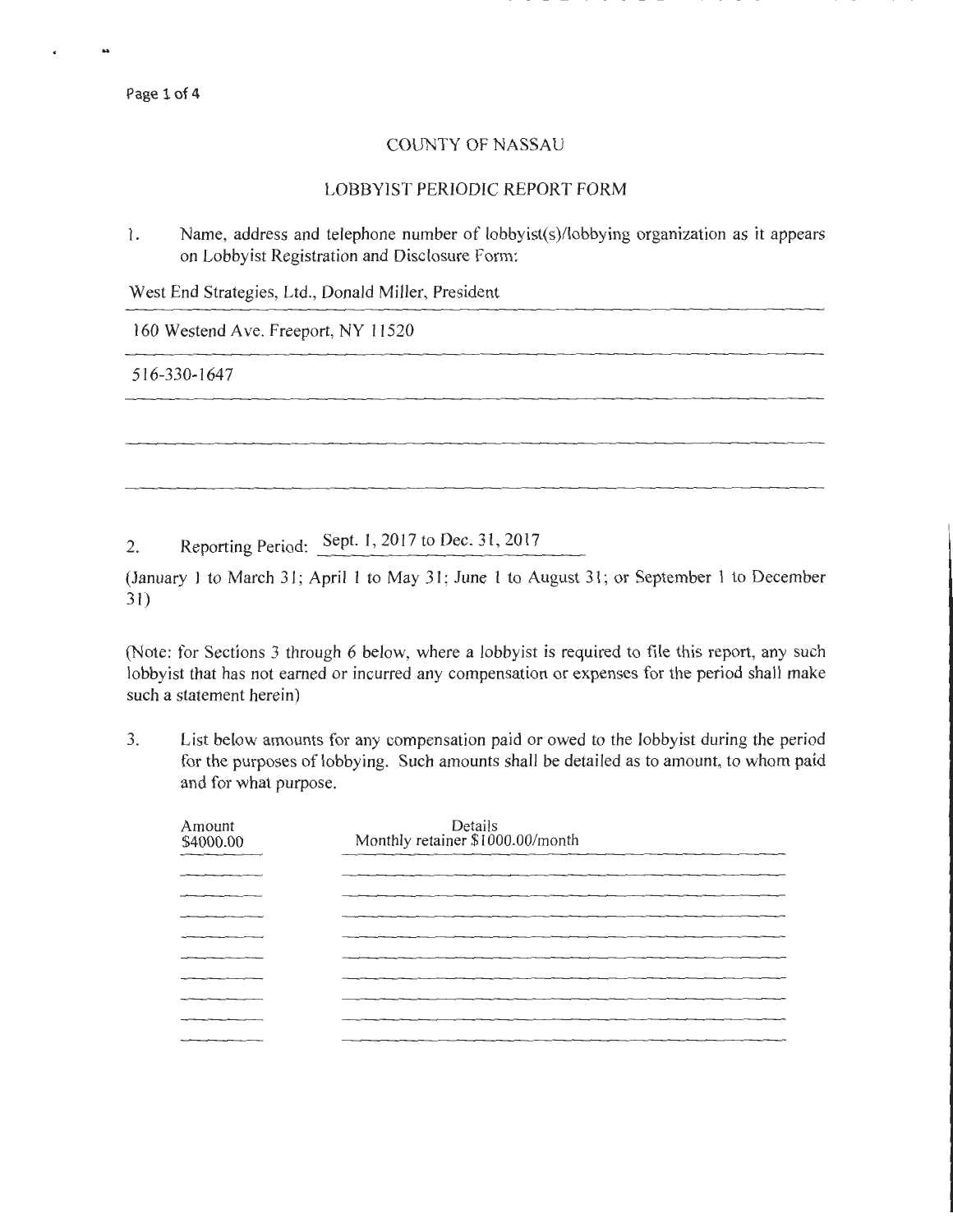Page 1 of 4

 $\ddot{\phantom{a}}$ 

## COUNTY OF NASSAU

## LOBBYIST PERIODIC REPORT FORM

1. Name, address and telephone number of lobbyist(s)/lobbying organization as it appears on Lobbyist Registration and Disclosure Form:

West End Strategies, Ltd., Donald Miller, President

160 Westend Ave. Freeport, NY 11520

516-330-1647

2. Reporting Period: Sept. 1, 2017 to Dec. 31, 2017

(January l to March 31; April 1 to May 31; June 1 to August 31; or September l to December 31)

(Note: for Sections 3 through 6 below, where a lobbyist is required to file this report, any such lobbyist that has not earned or incurred any compensation or expenses for the period shall make such a statement herein)

3. List below amounts for any compensation paid or owed to the lobbyist during the period for the purposes of lobbying. Such amounts shall be detailed as to amount, to whom paid and for what purpose.

| Amount<br>\$4000.00 | Details<br>Monthly retainer \$1000.00/month |
|---------------------|---------------------------------------------|
|                     |                                             |
|                     |                                             |
|                     |                                             |
|                     |                                             |
|                     |                                             |
|                     |                                             |
|                     |                                             |
|                     |                                             |
|                     |                                             |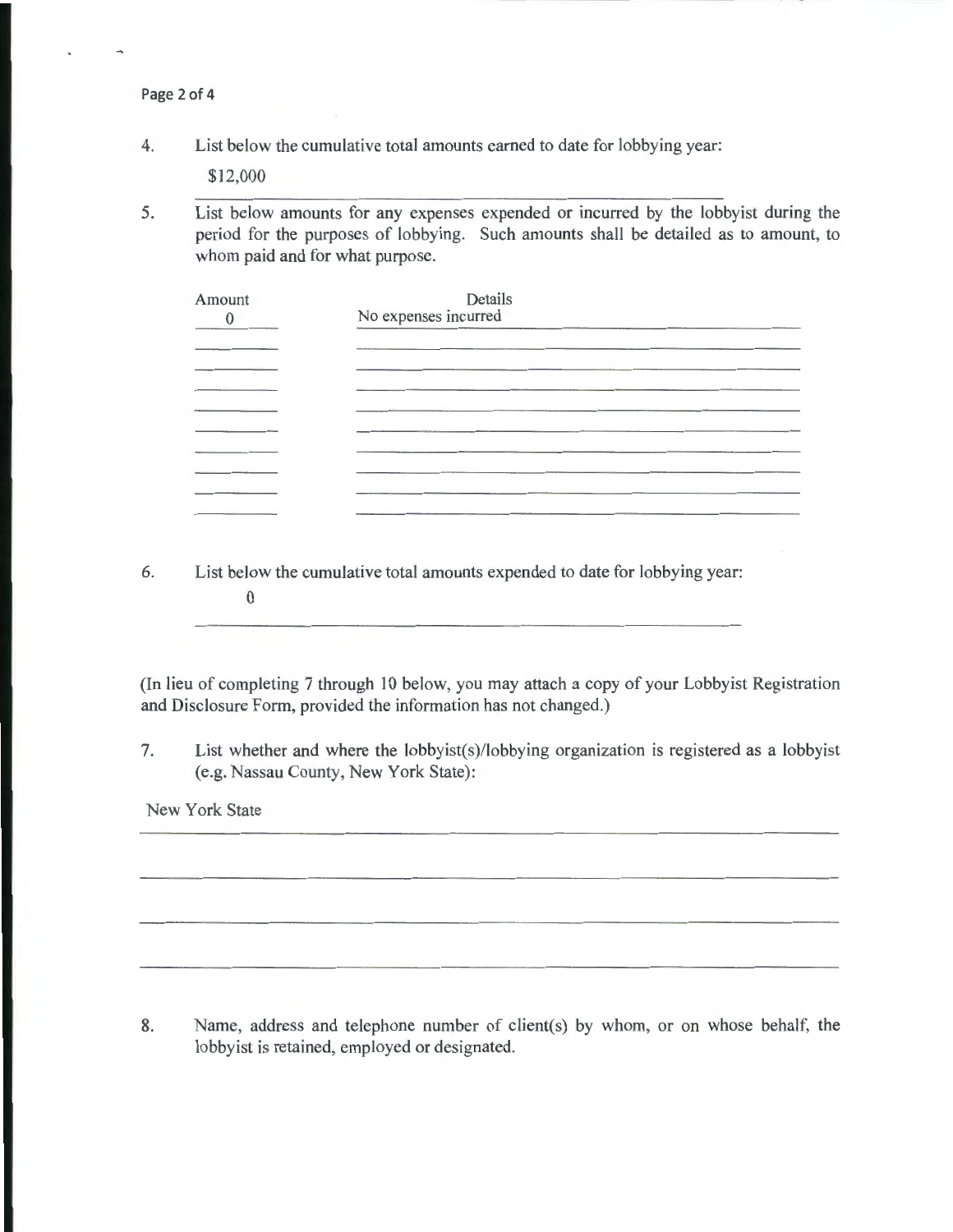Page 2 of 4

4. List below the cumulative total amounts earned to date for lobbying year:

\$12,000

5. List below amounts for any expenses expended or incurred by the lobbyist during the period for the purposes of lobbying. Such amounts shall be detailed as to amount, to whom paid and for what purpose.

| Amount | Details<br>No expenses incurred |  |  |  |  |
|--------|---------------------------------|--|--|--|--|
|        |                                 |  |  |  |  |
|        |                                 |  |  |  |  |
|        |                                 |  |  |  |  |
|        |                                 |  |  |  |  |
| _____  |                                 |  |  |  |  |
|        |                                 |  |  |  |  |

6. List below the cumulative total amounts expended to date for lobbying year: 0

(In lieu of completing 7 through 10 below, you may attach a copy of your Lobbyist Registration and Disclosure Form, provided the information has not changed.)

7. List whether and where the lobbyist(s)/lobbying organization is registered as a lobbyist (e.g. Nassau County, New York State):

New York State

8. Name, address and telephone number of client(s) by whom, or on whose behalf, the lobbyist is retained, employed or designated.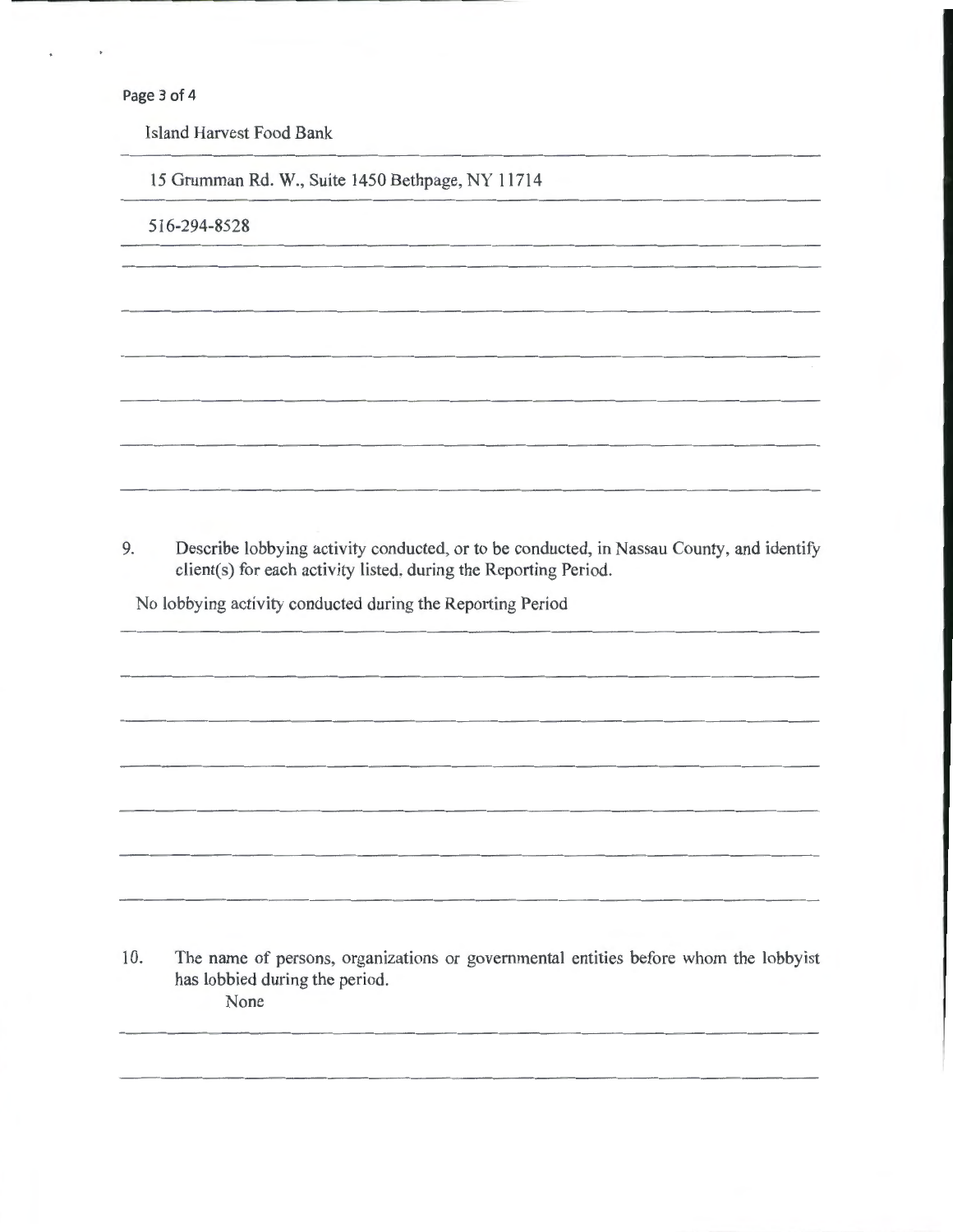Page 3 of 4

Island Harvest Food Bank

15 Grumman Rd. W., Suite 1450 Bethpage, NY 11714

516-294-8528

9. Describe lobbying activity conducted, or to be conducted, in Nassau County, and identify client(s) for each activity listed, during the Reporting Period.

No lobbying activity conducted during the Reporting Period

10. The name of persons, organizations or governmental entities before whom the lobbyist has lobbied during the period. None